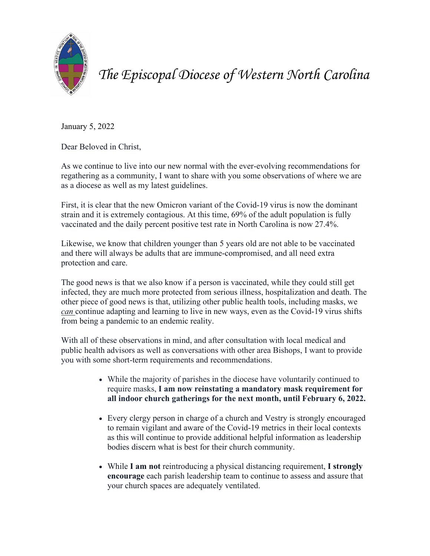

*The Episcopal Diocese of Western North Carolina*

January 5, 2022

Dear Beloved in Christ,

As we continue to live into our new normal with the ever-evolving recommendations for regathering as a community, I want to share with you some observations of where we are as a diocese as well as my latest guidelines.

First, it is clear that the new Omicron variant of the Covid-19 virus is now the dominant strain and it is extremely contagious. At this time, 69% of the adult population is fully vaccinated and the daily percent positive test rate in North Carolina is now 27.4%.

Likewise, we know that children younger than 5 years old are not able to be vaccinated and there will always be adults that are immune-compromised, and all need extra protection and care.

The good news is that we also know if a person is vaccinated, while they could still get infected, they are much more protected from serious illness, hospitalization and death. The other piece of good news is that, utilizing other public health tools, including masks, we *can* continue adapting and learning to live in new ways, even as the Covid-19 virus shifts from being a pandemic to an endemic reality.

With all of these observations in mind, and after consultation with local medical and public health advisors as well as conversations with other area Bishops, I want to provide you with some short-term requirements and recommendations.

- While the majority of parishes in the diocese have voluntarily continued to require masks, **I am now reinstating a mandatory mask requirement for all indoor church gatherings for the next month, until February 6, 2022.**
- Every clergy person in charge of a church and Vestry is strongly encouraged to remain vigilant and aware of the Covid-19 metrics in their local contexts as this will continue to provide additional helpful information as leadership bodies discern what is best for their church community.
- While **I am not** reintroducing a physical distancing requirement, **I strongly encourage** each parish leadership team to continue to assess and assure that your church spaces are adequately ventilated.